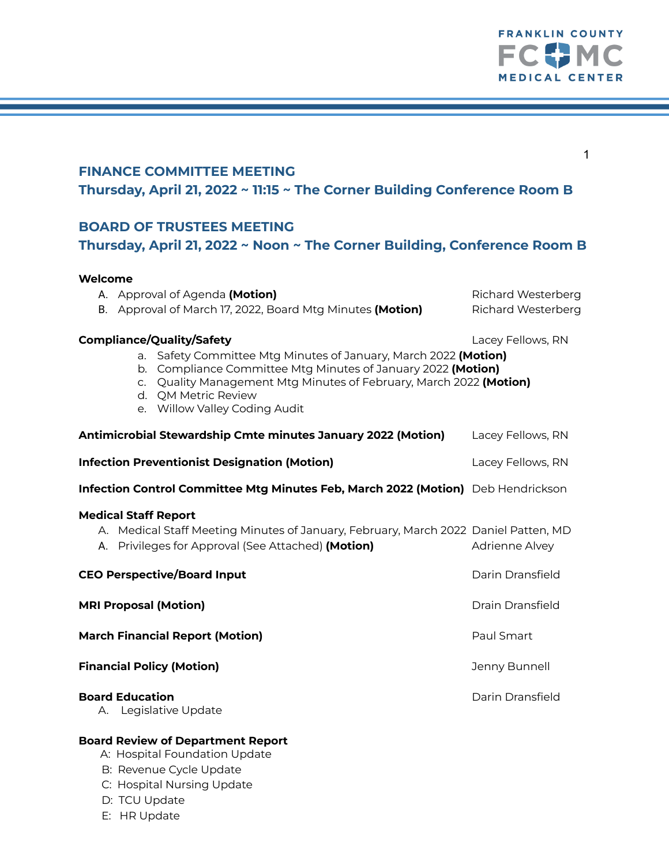

| 1<br><b>FINANCE COMMITTEE MEETING</b><br>Thursday, April 21, 2022 ~ 11:15 ~ The Corner Building Conference Room B                                                                                                                                                                                                      |                                                        |
|------------------------------------------------------------------------------------------------------------------------------------------------------------------------------------------------------------------------------------------------------------------------------------------------------------------------|--------------------------------------------------------|
| <b>BOARD OF TRUSTEES MEETING</b><br>Thursday, April 21, 2022 ~ Noon ~ The Corner Building, Conference Room B                                                                                                                                                                                                           |                                                        |
| Welcome<br>A. Approval of Agenda (Motion)<br>B. Approval of March 17, 2022, Board Mtg Minutes (Motion)                                                                                                                                                                                                                 | <b>Richard Westerberg</b><br><b>Richard Westerberg</b> |
| <b>Compliance/Quality/Safety</b><br>Lacey Fellows, RN<br>a. Safety Committee Mtg Minutes of January, March 2022 (Motion)<br>b. Compliance Committee Mtg Minutes of January 2022 (Motion)<br>c. Quality Management Mtg Minutes of February, March 2022 (Motion)<br>d. QM Metric Review<br>e. Willow Valley Coding Audit |                                                        |
| Antimicrobial Stewardship Cmte minutes January 2022 (Motion)                                                                                                                                                                                                                                                           | Lacey Fellows, RN                                      |
| <b>Infection Preventionist Designation (Motion)</b>                                                                                                                                                                                                                                                                    | Lacey Fellows, RN                                      |
| Infection Control Committee Mtg Minutes Feb, March 2022 (Motion) Deb Hendrickson                                                                                                                                                                                                                                       |                                                        |
| <b>Medical Staff Report</b><br>A. Medical Staff Meeting Minutes of January, February, March 2022 Daniel Patten, MD<br>A. Privileges for Approval (See Attached) (Motion)                                                                                                                                               | Adrienne Alvey                                         |
| <b>CEO Perspective/Board Input</b>                                                                                                                                                                                                                                                                                     | Darin Dransfield                                       |
| <b>MRI Proposal (Motion)</b>                                                                                                                                                                                                                                                                                           | <b>Drain Dransfield</b>                                |
| <b>March Financial Report (Motion)</b>                                                                                                                                                                                                                                                                                 | Paul Smart                                             |
| <b>Financial Policy (Motion)</b>                                                                                                                                                                                                                                                                                       | Jenny Bunnell                                          |
| <b>Board Education</b><br>A. Legislative Update                                                                                                                                                                                                                                                                        | Darin Dransfield                                       |
| <b>Board Review of Department Report</b><br>A: Hospital Foundation Update<br>B: Revenue Cycle Update<br>C: Hospital Nursing Update                                                                                                                                                                                     |                                                        |

- D: TCU Update
- E: HR Update